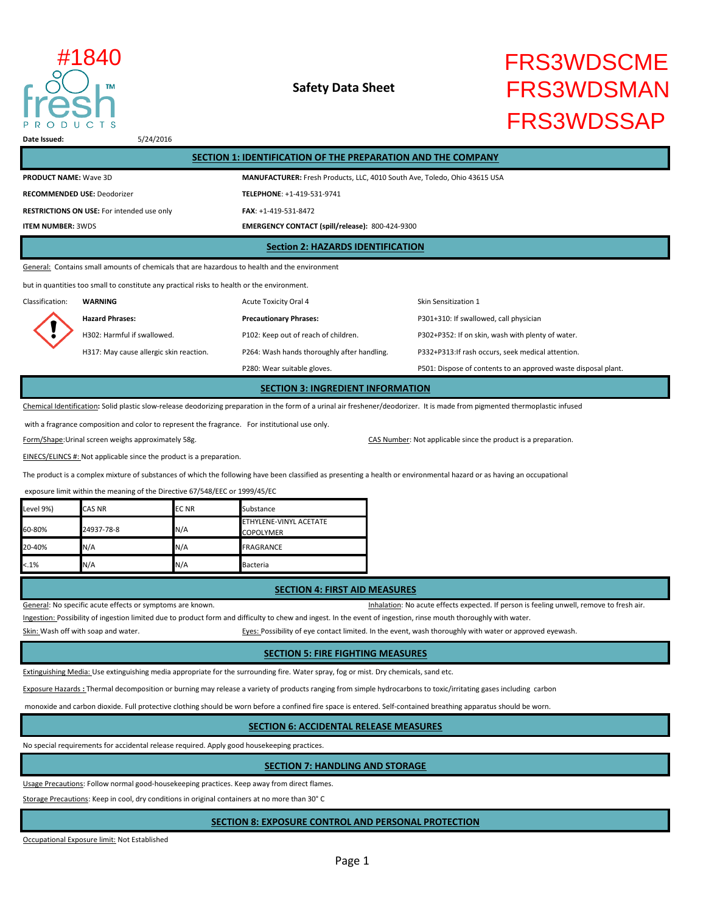

## **Safety Data Sheet**

# FRS3WDSCME FRS3WDSMAN FRS3WDSSAP #1840

**Date Issued:** 5/24/2016

| SECTION 1: IDENTIFICATION OF THE PREPARATION AND THE COMPANY                                  |                                                                           |  |  |  |
|-----------------------------------------------------------------------------------------------|---------------------------------------------------------------------------|--|--|--|
| <b>PRODUCT NAME: Wave 3D</b>                                                                  | MANUFACTURER: Fresh Products, LLC, 4010 South Ave, Toledo, Ohio 43615 USA |  |  |  |
| <b>RECOMMENDED USE: Deodorizer</b>                                                            | TELEPHONE: +1-419-531-9741                                                |  |  |  |
| <b>RESTRICTIONS ON USE:</b> For intended use only                                             | $FAX: +1-419-531-8472$                                                    |  |  |  |
| <b>ITEM NUMBER: 3WDS</b>                                                                      | <b>EMERGENCY CONTACT (spill/release): 800-424-9300</b>                    |  |  |  |
| <b>Section 2: HAZARDS IDENTIFICATION</b>                                                      |                                                                           |  |  |  |
| General: Contains small amounts of chemicals that are hazardous to health and the environment |                                                                           |  |  |  |

but in quantities too small to constitute any practical risks to health or the environment.

Classification: **WARNING Acute Toxicity Oral 4** Skin Sensitization 1 **Hazard Phrases: Precautionary Phrases:** P301+310: If swallowed, call physician H302: Harmful if swallowed. P102: Keep out of reach of children. P302+P352: If on skin, wash with plenty of water. H317: May cause allergic skin reaction. P264: Wash hands thoroughly after handling. P332+P313:If rash occurs, seek medical attention. P280: Wear suitable gloves. The suitable gloves are provided was provided waste disposal plant.

**SECTION 3: INGREDIENT INFORMATION**

Chemical Identification**:** Solid plastic slow-release deodorizing preparation in the form of a urinal air freshener/deodorizer. It is made from pigmented thermoplastic infused

with a fragrance composition and color to represent the fragrance. For institutional use only.

Form/Shape:Urinal screen weighs approximately 58g. The state of the state of the state of the product is a preparation.

EINECS/ELINCS #: Not applicable since the product is a preparation.

The product is a complex mixture of substances of which the following have been classified as presenting a health or environmental hazard or as having an occupational

exposure limit within the meaning of the Directive 67/548/EEC or 1999/45/EC

| Level 9%) | <b>CAS NR</b> | <b>ECNR</b> | Substance                                         |
|-----------|---------------|-------------|---------------------------------------------------|
| 60-80%    | 24937-78-8    | N/A         | <b>ETHYLENE-VINYL ACETATE</b><br><b>COPOLYMER</b> |
| 20-40%    | N/A           | N/A         | <b>FRAGRANCE</b>                                  |
| $< .1\%$  | N/A           | N/A         | Bacteria                                          |

#### **SECTION 4: FIRST AID MEASURES**

General: No specific acute effects or symptoms are known. The structure of the structure of the structure of the structure of the structure of the structure of the structure of the structure of the structure of the structu Ingestion: Possibility of ingestion limited due to product form and difficulty to chew and ingest. In the event of ingestion, rinse mouth thoroughly with water.

Skin: Wash off with soap and water. The state of the state of eyes: Possibility of eye contact limited. In the event, wash thoroughly with water or approved eyewash.

### **SECTION 5: FIRE FIGHTING MEASURES**

Extinguishing Media: Use extinguishing media appropriate for the surrounding fire. Water spray, fog or mist. Dry chemicals, sand etc.

Exposure Hazards **:** Thermal decomposition or burning may release a variety of products ranging from simple hydrocarbons to toxic/irritating gases including carbon

monoxide and carbon dioxide. Full protective clothing should be worn before a confined fire space is entered. Self-contained breathing apparatus should be worn.

## **SECTION 6: ACCIDENTAL RELEASE MEASURES**

No special requirements for accidental release required. Apply good housekeeping practices.

### **SECTION 7: HANDLING AND STORAGE**

Usage Precautions: Follow normal good-housekeeping practices. Keep away from direct flames.

Storage Precautions: Keep in cool, dry conditions in original containers at no more than 30° C

## **SECTION 8: EXPOSURE CONTROL AND PERSONAL PROTECTION**

Occupational Exposure limit: Not Established